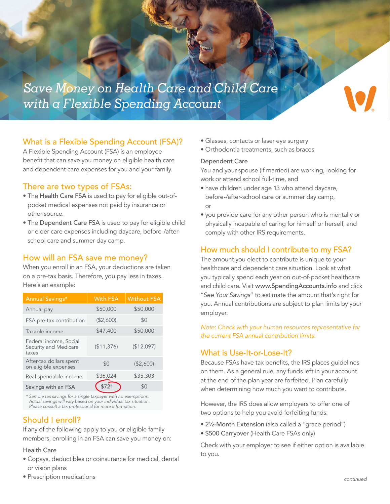

## What is a Flexible Spending Account (FSA)?

A Flexible Spending Account (FSA) is an employee benefit that can save you money on eligible health care and dependent care expenses for you and your family.

## There are two types of FSAs:

- The Health Care FSA is used to pay for eligible out-ofpocket medical expenses not paid by insurance or other source.
- The Dependent Care FSA is used to pay for eligible child or elder care expenses including daycare, before-/afterschool care and summer day camp.

## How will an FSA save me money?

When you enroll in an FSA, your deductions are taken on a pre-tax basis. Therefore, you pay less in taxes. Here's an example:

| Annual Savings*                                          | <b>With FSA</b> | <b>Without FSA</b> |
|----------------------------------------------------------|-----------------|--------------------|
| Annual pay                                               | \$50,000        | \$50,000           |
| FSA pre-tax contribution                                 | (\$2,600)       | \$0                |
| Taxable income                                           | \$47,400        | \$50,000           |
| Federal income, Social<br>Security and Medicare<br>taxes | (\$11,376)      | (\$12,097)         |
| After-tax dollars spent<br>on eligible expenses          | \$0             | (\$2,600)          |
| Real spendable income                                    | \$36,024        | \$35,303           |
| Savings with an FSA                                      |                 | \$0                |

*\* Sample tax savings for a single taxpayer with no exemptions. Actual savings will vary based on your individual tax situation. Please consult a tax professional for more information.*

# Should I enroll?

If any of the following apply to you or eligible family members, enrolling in an FSA can save you money on:

#### Health Care

- Copays, deductibles or coinsurance for medical, dental or vision plans
- Prescription medications
- Glasses, contacts or laser eye surgery
- Orthodontia treatments, such as braces

### Dependent Care

You and your spouse (if married) are working, looking for work or attend school full-time, and

- have children under age 13 who attend daycare, before-/after-school care or summer day camp, or
- you provide care for any other person who is mentally or physically incapable of caring for himself or herself, and comply with other IRS requirements.

## How much should I contribute to my FSA?

The amount you elect to contribute is unique to your healthcare and dependent care situation. Look at what you typically spend each year on out-of-pocket healthcare and child care. Visit www.SpendingAccounts.info and click "*See Your Savings*" to estimate the amount that's right for you. Annual contributions are subject to plan limits by your employer.

*Note: Check with your human resources representative for the current FSA annual contribution limits.*

### What is Use-It-or-Lose-It?

Because FSAs have tax benefits, the IRS places guidelines on them. As a general rule, any funds left in your account at the end of the plan year are forfeited. Plan carefully when determining how much you want to contribute.

However, the IRS does allow employers to offer one of two options to help you avoid forfeiting funds:

- 2½-Month Extension (also called a "grace period")
- \$500 Carryover (Health Care FSAs only)

Check with your employer to see if either option is available to you.